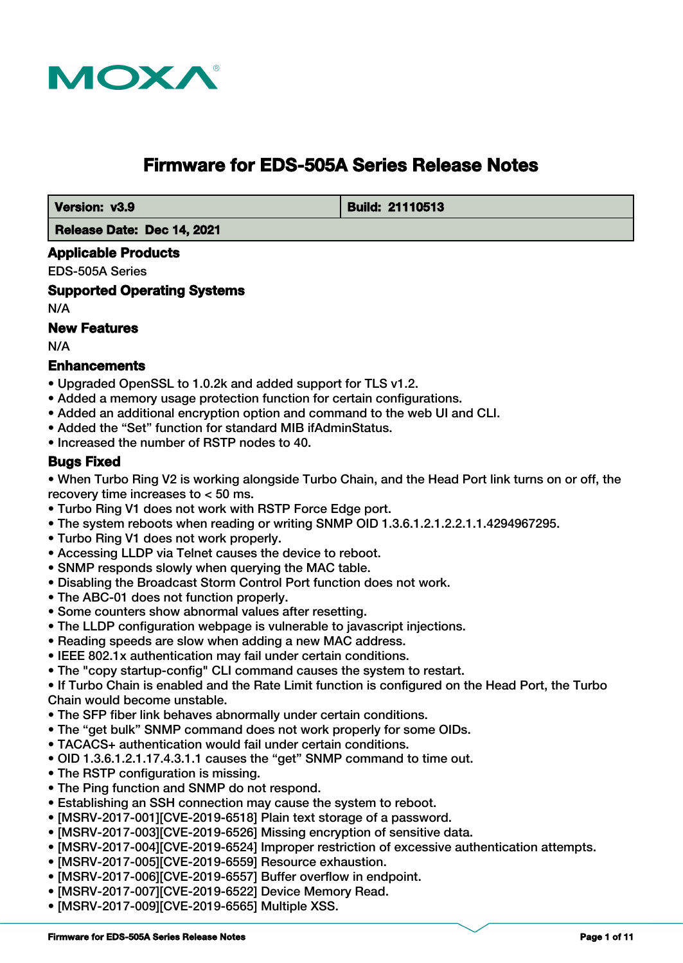

# **Firmware for EDS-505A Series Release Notes**

 **Version: v3.9 Build: 21110513** 

 **Release Date: Dec 14, 2021**

#### **Applicable Products**

EDS-505A Series

**Supported Operating Systems**

N/A

## **New Features**

N/A

#### **Enhancements**

- Upgraded OpenSSL to 1.0.2k and added support for TLS v1.2.
- Added a memory usage protection function for certain configurations.
- Added an additional encryption option and command to the web UI and CLI.
- Added the "Set" function for standard MIB ifAdminStatus.
- Increased the number of RSTP nodes to 40.

#### **Bugs Fixed**

• When Turbo Ring V2 is working alongside Turbo Chain, and the Head Port link turns on or off, the recovery time increases to < 50 ms.

- Turbo Ring V1 does not work with RSTP Force Edge port.
- The system reboots when reading or writing SNMP OID 1.3.6.1.2.1.2.2.1.1.4294967295.
- Turbo Ring V1 does not work properly.
- Accessing LLDP via Telnet causes the device to reboot.
- SNMP responds slowly when querying the MAC table.
- Disabling the Broadcast Storm Control Port function does not work.
- The ABC-01 does not function properly.
- Some counters show abnormal values after resetting.
- The LLDP configuration webpage is vulnerable to javascript injections.
- Reading speeds are slow when adding a new MAC address.
- IEEE 802.1x authentication may fail under certain conditions.
- The "copy startup-config" CLI command causes the system to restart.

• If Turbo Chain is enabled and the Rate Limit function is configured on the Head Port, the Turbo Chain would become unstable.

- The SFP fiber link behaves abnormally under certain conditions.
- The "get bulk" SNMP command does not work properly for some OIDs.
- TACACS+ authentication would fail under certain conditions.
- OID 1.3.6.1.2.1.17.4.3.1.1 causes the "get" SNMP command to time out.
- The RSTP configuration is missing.
- The Ping function and SNMP do not respond.
- Establishing an SSH connection may cause the system to reboot.
- [MSRV-2017-001][CVE-2019-6518] Plain text storage of a password.
- [MSRV-2017-003][CVE-2019-6526] Missing encryption of sensitive data.
- [MSRV-2017-004][CVE-2019-6524] Improper restriction of excessive authentication attempts.
- [MSRV-2017-005][CVE-2019-6559] Resource exhaustion.
- [MSRV-2017-006][CVE-2019-6557] Buffer overflow in endpoint.
- [MSRV-2017-007][CVE-2019-6522] Device Memory Read.
- [MSRV-2017-009][CVE-2019-6565] Multiple XSS.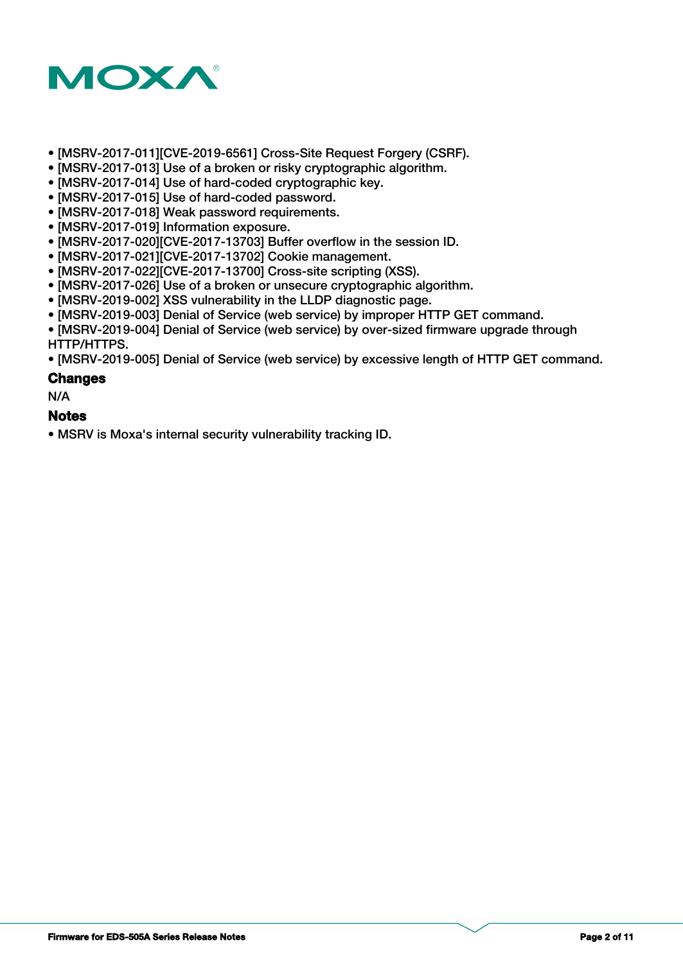

- [MSRV-2017-011][CVE-2019-6561] Cross-Site Request Forgery (CSRF).
- [MSRV-2017-013] Use of a broken or risky cryptographic algorithm.
- [MSRV-2017-014] Use of hard-coded cryptographic key.
- [MSRV-2017-015] Use of hard-coded password.
- [MSRV-2017-018] Weak password requirements.
- [MSRV-2017-019] Information exposure.
- [MSRV-2017-020][CVE-2017-13703] Buffer overflow in the session ID.
- [MSRV-2017-021][CVE-2017-13702] Cookie management.
- [MSRV-2017-022][CVE-2017-13700] Cross-site scripting (XSS).
- [MSRV-2017-026] Use of a broken or unsecure cryptographic algorithm.
- [MSRV-2019-002] XSS vulnerability in the LLDP diagnostic page.
- [MSRV-2019-003] Denial of Service (web service) by improper HTTP GET command.
- [MSRV-2019-004] Denial of Service (web service) by over-sized firmware upgrade through HTTP/HTTPS.

• [MSRV-2019-005] Denial of Service (web service) by excessive length of HTTP GET command.

#### **Changes**

N/A

#### **Notes**

• MSRV is Moxa's internal security vulnerability tracking ID.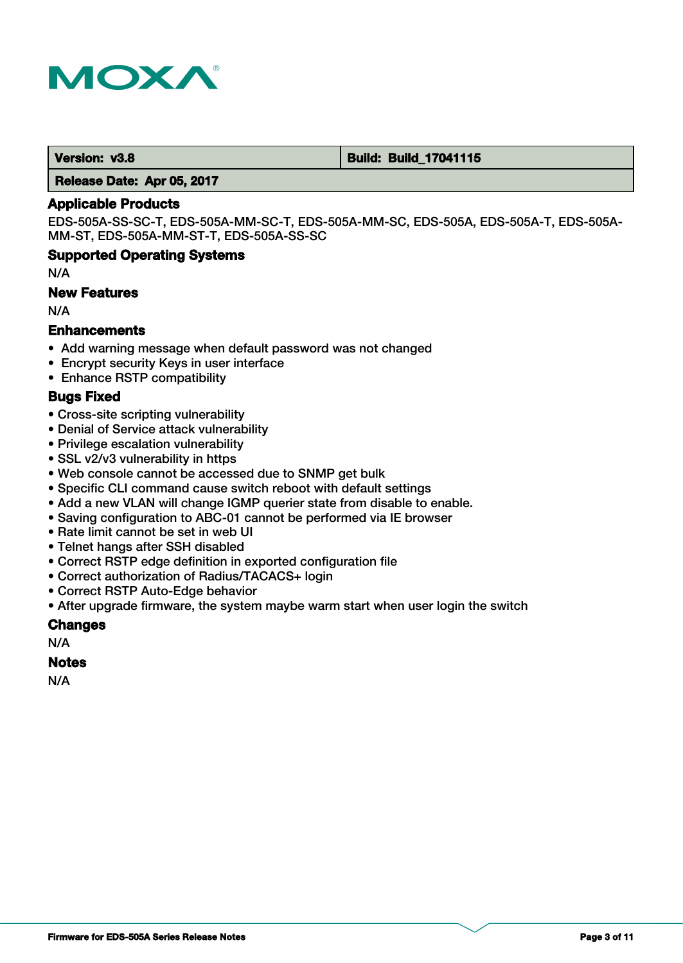

#### **Version: v3.8 Build: Build: Build: Build: 17041115**

 **Release Date: Apr 05, 2017**

#### **Applicable Products**

EDS-505A-SS-SC-T, EDS-505A-MM-SC-T, EDS-505A-MM-SC, EDS-505A, EDS-505A-T, EDS-505A-MM-ST, EDS-505A-MM-ST-T, EDS-505A-SS-SC

#### **Supported Operating Systems**

N/A

#### **New Features**

N/A

#### **Enhancements**

- Add warning message when default password was not changed
- Encrypt security Keys in user interface
- Enhance RSTP compatibility

#### **Bugs Fixed**

- Cross-site scripting vulnerability
- Denial of Service attack vulnerability
- Privilege escalation vulnerability
- SSL v2/v3 vulnerability in https
- Web console cannot be accessed due to SNMP get bulk
- Specific CLI command cause switch reboot with default settings
- Add a new VLAN will change IGMP querier state from disable to enable.
- Saving configuration to ABC-01 cannot be performed via IE browser
- Rate limit cannot be set in web UI
- Telnet hangs after SSH disabled
- Correct RSTP edge definition in exported configuration file
- Correct authorization of Radius/TACACS+ login
- Correct RSTP Auto-Edge behavior
- After upgrade firmware, the system maybe warm start when user login the switch

#### **Changes**

N/A

#### **Notes**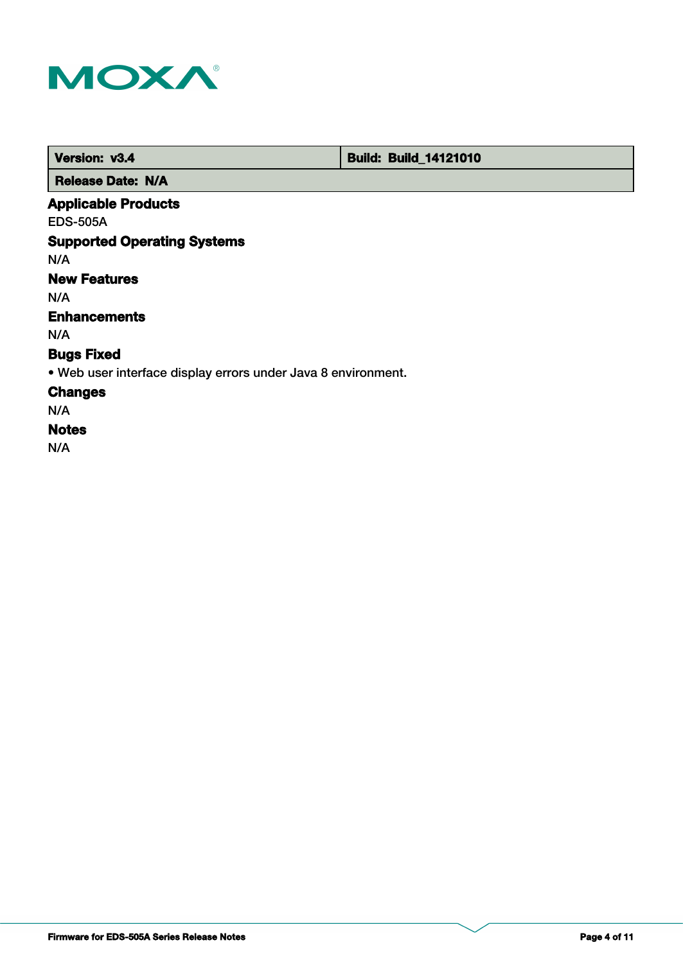

 **Version: v3.4 Build: Build: Build: 14121010** 

 **Release Date: N/A**

## **Applicable Products**

EDS-505A

## **Supported Operating Systems**

N/A

## **New Features**

N/A

## **Enhancements**

N/A

## **Bugs Fixed**

• Web user interface display errors under Java 8 environment.

### **Changes**

N/A

## **Notes**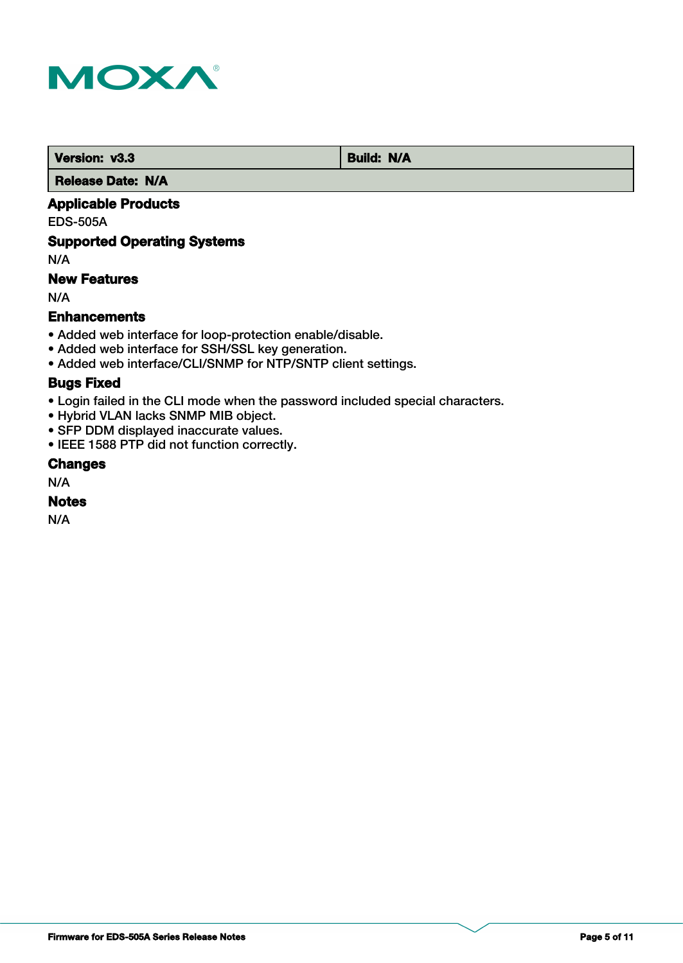

**Version: v3.3 Build: N/A** 

 **Release Date: N/A**

## **Applicable Products**

EDS-505A

### **Supported Operating Systems**

N/A

## **New Features**

N/A

#### **Enhancements**

- Added web interface for loop-protection enable/disable.
- Added web interface for SSH/SSL key generation.
- Added web interface/CLI/SNMP for NTP/SNTP client settings.

#### **Bugs Fixed**

- Login failed in the CLI mode when the password included special characters.
- Hybrid VLAN lacks SNMP MIB object.
- SFP DDM displayed inaccurate values.
- IEEE 1588 PTP did not function correctly.

## **Changes**

N/A

### **Notes**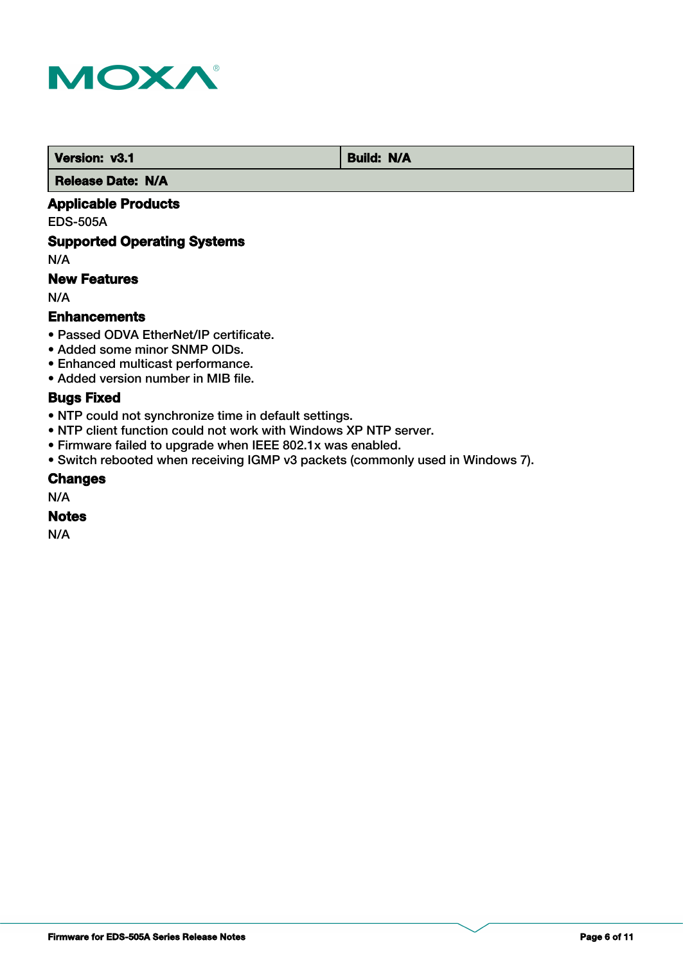

*Version: v3.1* **Build: N/A** 

 **Release Date: N/A**

## **Applicable Products**

EDS-505A

## **Supported Operating Systems**

N/A

## **New Features**

N/A

#### **Enhancements**

- Passed ODVA EtherNet/IP certificate.
- Added some minor SNMP OIDs.
- Enhanced multicast performance.
- Added version number in MIB file.

## **Bugs Fixed**

- NTP could not synchronize time in default settings.
- NTP client function could not work with Windows XP NTP server.
- Firmware failed to upgrade when IEEE 802.1x was enabled.
- Switch rebooted when receiving IGMP v3 packets (commonly used in Windows 7).

#### **Changes**

N/A

#### **Notes**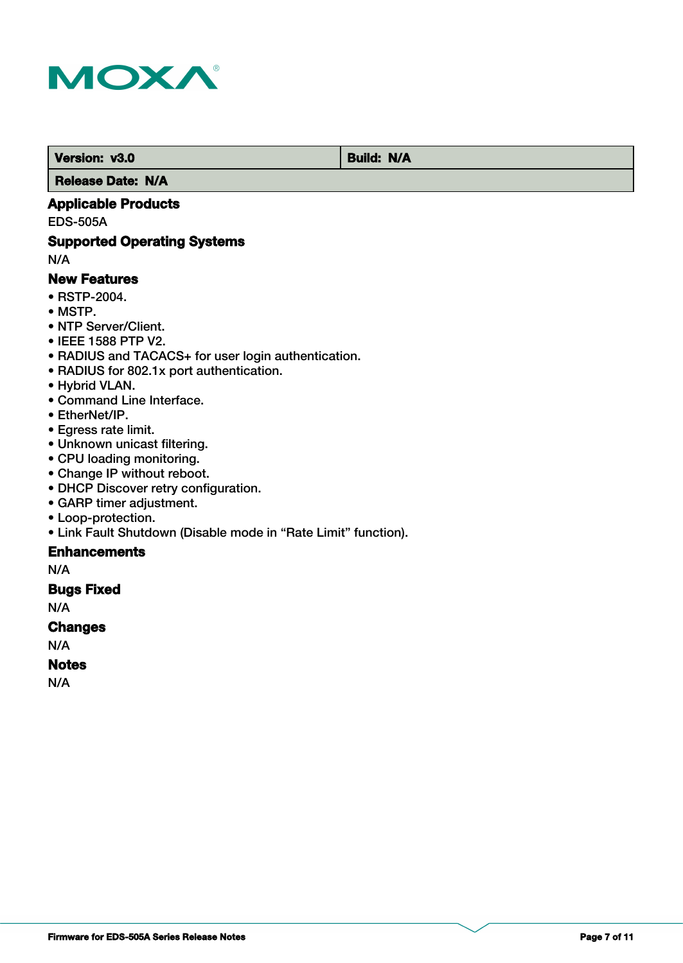

 **Version: v3.0 Build: N/A** 

 **Release Date: N/A**

## **Applicable Products**

EDS-505A

## **Supported Operating Systems**

N/A

#### **New Features**

- RSTP-2004.
- MSTP.
- NTP Server/Client.
- IEEE 1588 PTP V2.
- RADIUS and TACACS+ for user login authentication.
- RADIUS for 802.1x port authentication.
- Hybrid VLAN.
- Command Line Interface.
- EtherNet/IP.
- Egress rate limit.
- Unknown unicast filtering.
- CPU loading monitoring.
- Change IP without reboot.
- DHCP Discover retry configuration.
- GARP timer adjustment.
- Loop-protection.
- Link Fault Shutdown (Disable mode in "Rate Limit" function).

## **Enhancements**

N/A

## **Bugs Fixed**

N/A

#### **Changes**

N/A

## **Notes**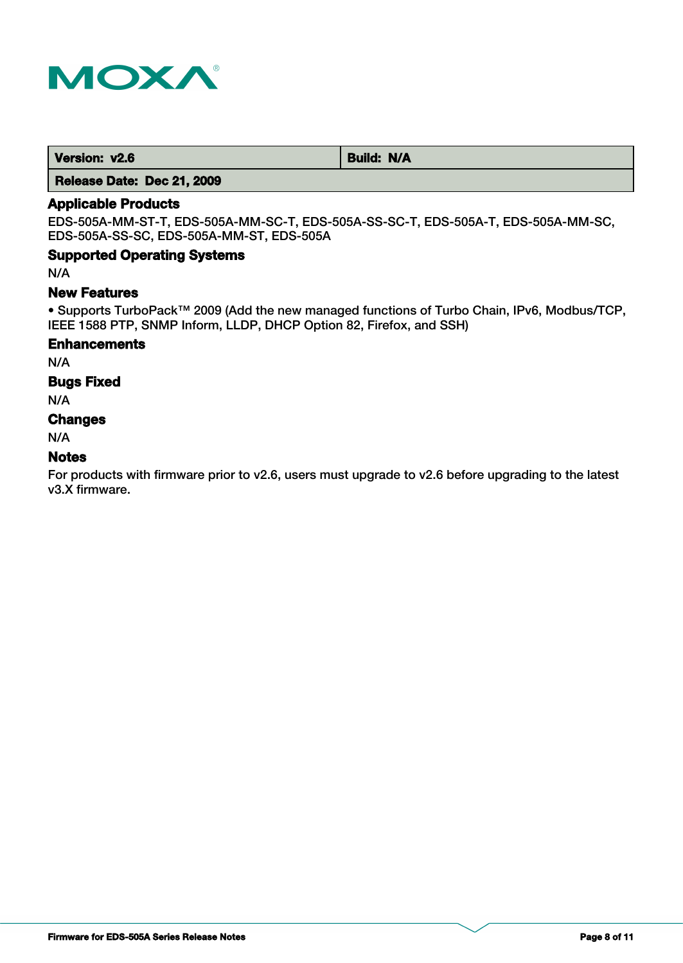

| Version: v2.6<br><b>Build: N/A</b> |
|------------------------------------|
|------------------------------------|

 **Release Date: Dec 21, 2009**

## **Applicable Products**

EDS-505A-MM-ST-T, EDS-505A-MM-SC-T, EDS-505A-SS-SC-T, EDS-505A-T, EDS-505A-MM-SC, EDS-505A-SS-SC, EDS-505A-MM-ST, EDS-505A

## **Supported Operating Systems**

N/A

#### **New Features**

• Supports TurboPack™ 2009 (Add the new managed functions of Turbo Chain, IPv6, Modbus/TCP, IEEE 1588 PTP, SNMP Inform, LLDP, DHCP Option 82, Firefox, and SSH)

#### **Enhancements**

N/A

#### **Bugs Fixed**

N/A

## **Changes**

N/A

#### **Notes**

For products with firmware prior to v2.6, users must upgrade to v2.6 before upgrading to the latest v3.X firmware.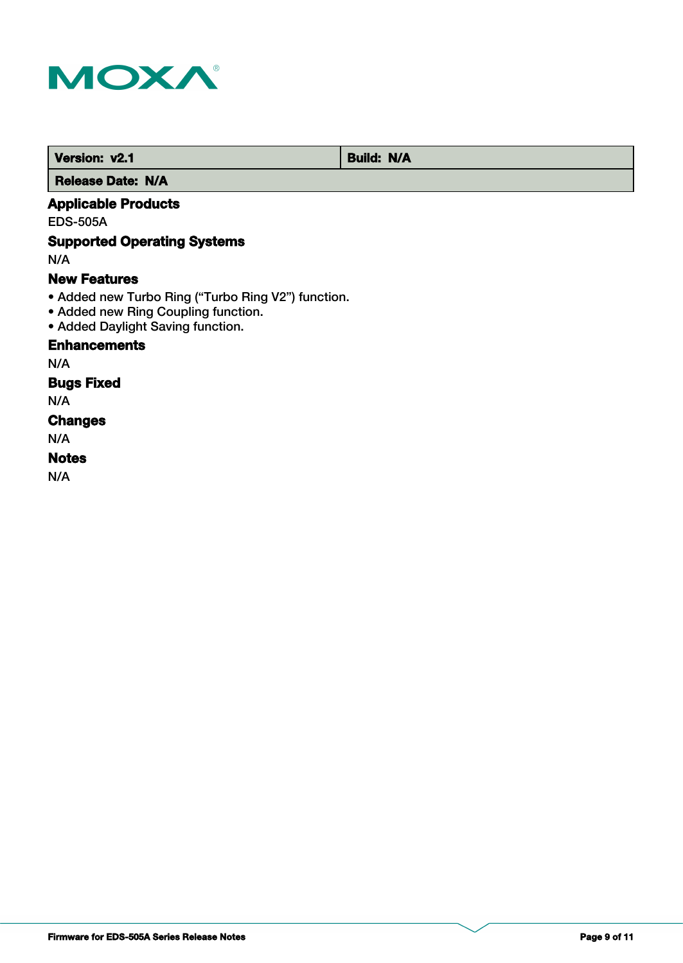

 **Version: v2.1 Build: N/A** 

 **Release Date: N/A**

## **Applicable Products**

EDS-505A

## **Supported Operating Systems**

N/A

#### **New Features**

- Added new Turbo Ring ("Turbo Ring V2") function.
- Added new Ring Coupling function.
- Added Daylight Saving function.

## **Enhancements**

N/A

## **Bugs Fixed**

N/A

## **Changes**

N/A

## **Notes**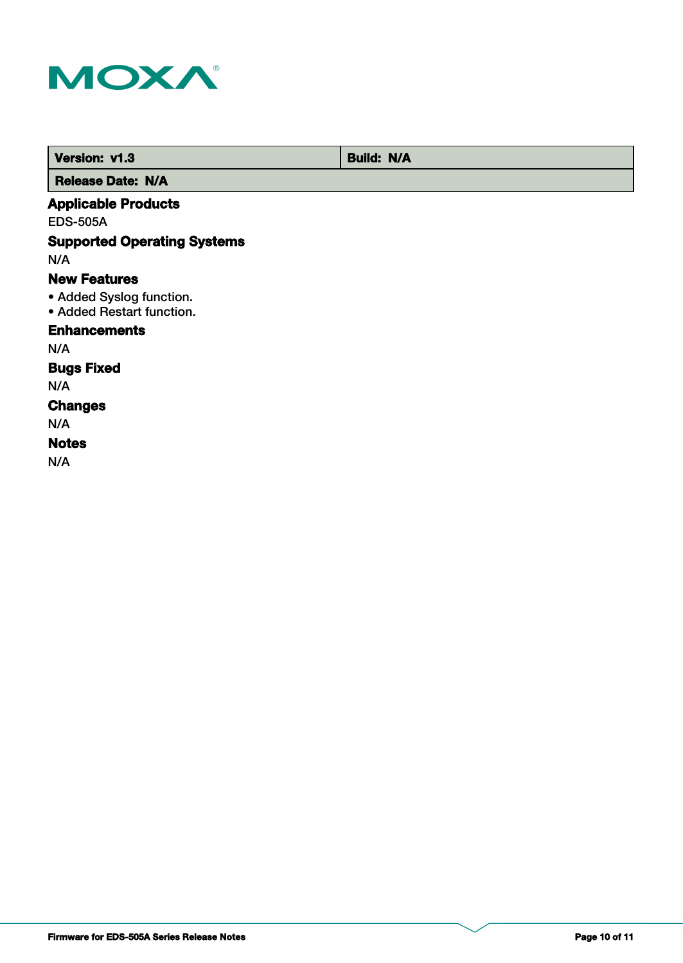

 **Version: v1.3 Build: N/A** 

 **Release Date: N/A**

## **Applicable Products**

EDS-505A

## **Supported Operating Systems**

N/A

#### **New Features**

- Added Syslog function.
- Added Restart function.

### **Enhancements**

N/A

## **Bugs Fixed**

N/A

#### **Changes**

N/A

## **Notes**